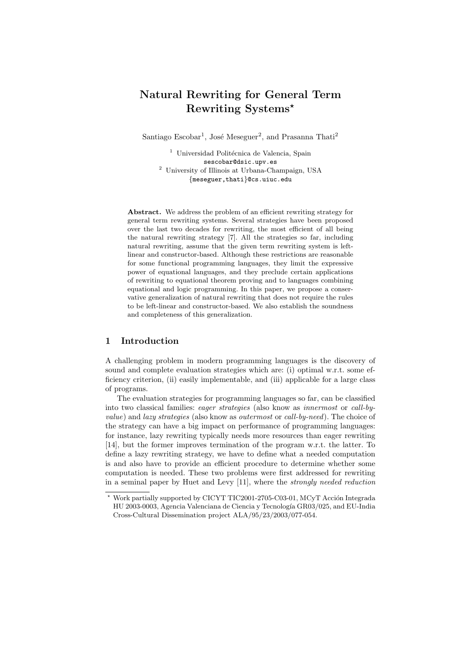# Natural Rewriting for General Term Rewriting Systems?

Santiago Escobar<sup>1</sup>, José Meseguer<sup>2</sup>, and Prasanna Thati<sup>2</sup>

 $^1$ Universidad Politécnica de Valencia, Spain sescobar@dsic.upv.es <sup>2</sup> University of Illinois at Urbana-Champaign, USA {meseguer,thati}@cs.uiuc.edu

Abstract. We address the problem of an efficient rewriting strategy for general term rewriting systems. Several strategies have been proposed over the last two decades for rewriting, the most efficient of all being the natural rewriting strategy [7]. All the strategies so far, including natural rewriting, assume that the given term rewriting system is leftlinear and constructor-based. Although these restrictions are reasonable for some functional programming languages, they limit the expressive power of equational languages, and they preclude certain applications of rewriting to equational theorem proving and to languages combining equational and logic programming. In this paper, we propose a conservative generalization of natural rewriting that does not require the rules to be left-linear and constructor-based. We also establish the soundness and completeness of this generalization.

## 1 Introduction

A challenging problem in modern programming languages is the discovery of sound and complete evaluation strategies which are: (i) optimal w.r.t. some efficiency criterion, (ii) easily implementable, and (iii) applicable for a large class of programs.

The evaluation strategies for programming languages so far, can be classified into two classical families: eager strategies (also know as innermost or call-byvalue) and lazy strategies (also know as outermost or call-by-need). The choice of the strategy can have a big impact on performance of programming languages: for instance, lazy rewriting typically needs more resources than eager rewriting [14], but the former improves termination of the program w.r.t. the latter. To define a lazy rewriting strategy, we have to define what a needed computation is and also have to provide an efficient procedure to determine whether some computation is needed. These two problems were first addressed for rewriting in a seminal paper by Huet and Levy [11], where the strongly needed reduction

 $*$  Work partially supported by CICYT TIC2001-2705-C03-01, MCyT Acción Integrada HU 2003-0003, Agencia Valenciana de Ciencia y Tecnología GR03/025, and EU-India Cross-Cultural Dissemination project ALA/95/23/2003/077-054.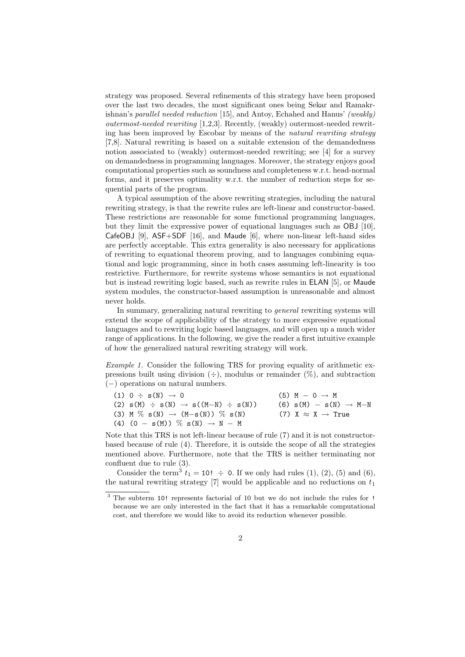strategy was proposed. Several refinements of this strategy have been proposed over the last two decades, the most significant ones being Sekar and Ramakrishnan's parallel needed reduction [15], and Antoy, Echahed and Hanus' (weakly) outermost-needed rewriting [1,2,3]. Recently, (weakly) outermost-needed rewriting has been improved by Escobar by means of the natural rewriting strategy [7,8]. Natural rewriting is based on a suitable extension of the demandedness notion associated to (weakly) outermost-needed rewriting; see [4] for a survey on demandedness in programming languages. Moreover, the strategy enjoys good computational properties such as soundness and completeness w.r.t. head-normal forms, and it preserves optimality w.r.t. the number of reduction steps for sequential parts of the program.

A typical assumption of the above rewriting strategies, including the natural rewriting strategy, is that the rewrite rules are left-linear and constructor-based. These restrictions are reasonable for some functional programming languages, but they limit the expressive power of equational languages such as OBJ [10], CafeOBJ [9], ASF+SDF [16], and Maude [6], where non-linear left-hand sides are perfectly acceptable. This extra generality is also necessary for applications of rewriting to equational theorem proving, and to languages combining equational and logic programming, since in both cases assuming left-linearity is too restrictive. Furthermore, for rewrite systems whose semantics is not equational but is instead rewriting logic based, such as rewrite rules in ELAN [5], or Maude system modules, the constructor-based assumption is unreasonable and almost never holds.

In summary, generalizing natural rewriting to general rewriting systems will extend the scope of applicability of the strategy to more expressive equational languages and to rewriting logic based languages, and will open up a much wider range of applications. In the following, we give the reader a first intuitive example of how the generalized natural rewriting strategy will work.

Example 1. Consider the following TRS for proving equality of arithmetic expressions built using division  $(\div)$ , modulus or remainder  $(\%)$ , and subtraction (−) operations on natural numbers.

| $(1)$ 0 $\div$ s(N) $\rightarrow$ 0                       | $(5)$ M $-$ O $\rightarrow$ M         |
|-----------------------------------------------------------|---------------------------------------|
| $(2)$ s(M) $\div$ s(N) $\rightarrow$ s((M-N) $\div$ s(N)) | $(6)$ s(M) $-$ s(N) $\rightarrow$ M-N |
| (3) M $\%$ s(N) $\rightarrow$ (M-s(N)) $\%$ s(N)          | (7) X $\approx$ X $\rightarrow$ True  |
| $(4)$ $(0 - s(M))$ % $s(N) \rightarrow N - M$             |                                       |

Note that this TRS is not left-linear because of rule (7) and it is not constructorbased because of rule (4). Therefore, it is outside the scope of all the strategies mentioned above. Furthermore, note that the TRS is neither terminating nor confluent due to rule (3).

Consider the term<sup>3</sup>  $t_1 = 10! \div 0$ . If we only had rules (1), (2), (5) and (6), the natural rewriting strategy [7] would be applicable and no reductions on  $t_1$ 

<sup>3</sup> The subterm 10! represents factorial of 10 but we do not include the rules for ! because we are only interested in the fact that it has a remarkable computational cost, and therefore we would like to avoid its reduction whenever possible.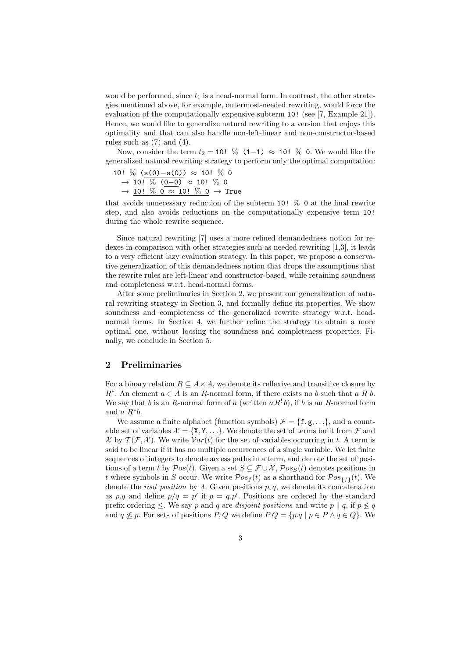would be performed, since  $t_1$  is a head-normal form. In contrast, the other strategies mentioned above, for example, outermost-needed rewriting, would force the evaluation of the computationally expensive subterm 10! (see [7, Example 21]). Hence, we would like to generalize natural rewriting to a version that enjoys this optimality and that can also handle non-left-linear and non-constructor-based rules such as  $(7)$  and  $(4)$ .

Now, consider the term  $t_2 = 10!$  % (1−1) ≈ 10! % 0. We would like the generalized natural rewriting strategy to perform only the optimal computation:

10! % (s(0)−s(0)) ≈ 10! % 0 → 10! % (0−0) ≈ 10! % 0

 $\rightarrow$  10! % 0  $\approx$  10! % 0  $\rightarrow$  True

that avoids unnecessary reduction of the subterm 10! % 0 at the final rewrite step, and also avoids reductions on the computationally expensive term 10! during the whole rewrite sequence.

Since natural rewriting [7] uses a more refined demandedness notion for redexes in comparison with other strategies such as needed rewriting [1,3], it leads to a very efficient lazy evaluation strategy. In this paper, we propose a conservative generalization of this demandedness notion that drops the assumptions that the rewrite rules are left-linear and constructor-based, while retaining soundness and completeness w.r.t. head-normal forms.

After some preliminaries in Section 2, we present our generalization of natural rewriting strategy in Section 3, and formally define its properties. We show soundness and completeness of the generalized rewrite strategy w.r.t. headnormal forms. In Section 4, we further refine the strategy to obtain a more optimal one, without loosing the soundness and completeness properties. Finally, we conclude in Section 5.

#### 2 Preliminaries

For a binary relation  $R \subseteq A \times A$ , we denote its reflexive and transitive closure by  $R^*$ . An element  $a \in A$  is an R-normal form, if there exists no b such that a R b. We say that b is an R-normal form of a (written  $a R^{\dagger} b$ ), if b is an R-normal form and  $a R^*b$ .

We assume a finite alphabet (function symbols)  $\mathcal{F} = \{f, g, ...\}$ , and a countable set of variables  $\mathcal{X} = \{X, Y, \ldots\}$ . We denote the set of terms built from  $\mathcal{F}$  and X by  $\mathcal{T}(\mathcal{F}, \mathcal{X})$ . We write  $\mathcal{V}ar(t)$  for the set of variables occurring in t. A term is said to be linear if it has no multiple occurrences of a single variable. We let finite sequences of integers to denote access paths in a term, and denote the set of positions of a term t by  $\mathcal{P}os(t)$ . Given a set  $S \subseteq \mathcal{F} \cup \mathcal{X}, \mathcal{P}os_S(t)$  denotes positions in t where symbols in S occur. We write  $\mathcal{P}os_f(t)$  as a shorthand for  $\mathcal{P}os_{\{f\}}(t)$ . We denote the *root position* by  $\Lambda$ . Given positions  $p, q$ , we denote its concatenation as p.q and define  $p/q = p'$  if  $p = q.p'$ . Positions are ordered by the standard prefix ordering  $\leq$ . We say p and q are disjoint positions and write p || q, if  $p \nleq q$ and  $q \nleq p$ . For sets of positions  $P, Q$  we define  $P.Q = \{p.q \mid p \in P \land q \in Q\}$ . We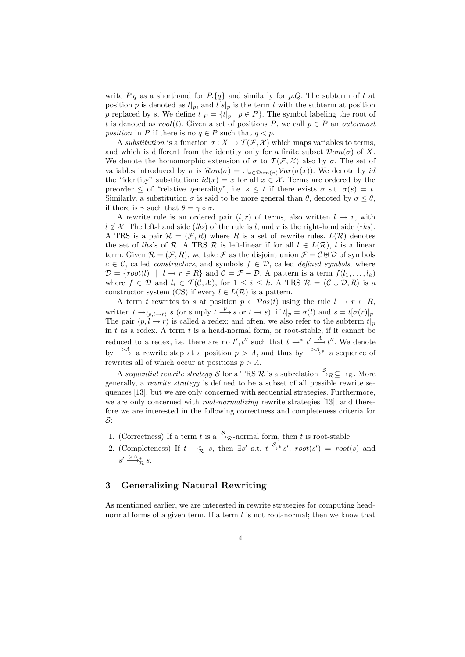write P.q as a shorthand for P. $\{q\}$  and similarly for p.Q. The subterm of t at position p is denoted as  $t|_p$ , and  $t[s]_p$  is the term t with the subterm at position p replaced by s. We define  $t|_P = \{t|_p \mid p \in P\}$ . The symbol labeling the root of t is denoted as  $root(t)$ . Given a set of positions P, we call  $p \in P$  an *outermost* position in P if there is no  $q \in P$  such that  $q < p$ .

A substitution is a function  $\sigma: X \to \mathcal{T}(\mathcal{F}, \mathcal{X})$  which maps variables to terms, and which is different from the identity only for a finite subset  $\mathcal{D}om(\sigma)$  of X. We denote the homomorphic extension of  $\sigma$  to  $\mathcal{T}(\mathcal{F},\mathcal{X})$  also by  $\sigma$ . The set of variables introduced by  $\sigma$  is  $\mathcal{R}an(\sigma) = \cup_{x \in \mathcal{D}om(\sigma)} \mathcal{V}ar(\sigma(x))$ . We denote by id the "identity" substitution:  $id(x) = x$  for all  $x \in \mathcal{X}$ . Terms are ordered by the preorder  $\leq$  of "relative generality", i.e.  $s \leq t$  if there exists  $\sigma$  s.t.  $\sigma(s) = t$ . Similarly, a substitution  $\sigma$  is said to be more general than  $\theta$ , denoted by  $\sigma \leq \theta$ , if there is  $\gamma$  such that  $\theta = \gamma \circ \sigma$ .

A rewrite rule is an ordered pair  $(l, r)$  of terms, also written  $l \rightarrow r$ , with  $l \notin \mathcal{X}$ . The left-hand side (lhs) of the rule is l, and r is the right-hand side (rhs). A TRS is a pair  $\mathcal{R} = (\mathcal{F}, R)$  where R is a set of rewrite rules.  $L(\mathcal{R})$  denotes the set of lhs's of R. A TRS R is left-linear if for all  $l \in L(\mathcal{R})$ , l is a linear term. Given  $\mathcal{R} = (\mathcal{F}, R)$ , we take  $\mathcal{F}$  as the disjoint union  $\mathcal{F} = \mathcal{C} \oplus \mathcal{D}$  of symbols  $c \in \mathcal{C}$ , called *constructors*, and symbols  $f \in \mathcal{D}$ , called *defined symbols*, where  $\mathcal{D} = \{root(l) \mid l \rightarrow r \in R\}$  and  $\mathcal{C} = \mathcal{F} - \mathcal{D}$ . A pattern is a term  $f(l_1, \ldots, l_k)$ where  $f \in \mathcal{D}$  and  $l_i \in \mathcal{T}(\mathcal{C}, \mathcal{X})$ , for  $1 \leq i \leq k$ . A TRS  $\mathcal{R} = (\mathcal{C} \oplus \mathcal{D}, R)$  is a constructor system (CS) if every  $l \in L(\mathcal{R})$  is a pattern.

A term t rewrites to s at position  $p \in \mathcal{P}os(t)$  using the rule  $l \to r \in R$ , written  $t \to_{\langle p,l \to r \rangle} s$  (or simply  $t \stackrel{p}{\longrightarrow} s$  or  $t \to s$ ), if  $t|_p = \sigma(l)$  and  $s = t[\sigma(r)]_p$ . The pair  $\langle p, l \rightarrow r \rangle$  is called a redex; and often, we also refer to the subterm  $t|_p$ in  $t$  as a redex. A term  $t$  is a head-normal form, or root-stable, if it cannot be reduced to a redex, i.e. there are no  $t', t''$  such that  $t \to^* t' \xrightarrow{\Lambda} t''$ . We denote by  $\Rightarrow^A$  a rewrite step at a position  $p > A$ , and thus by  $\Rightarrow^{A^*}$  a sequence of rewrites all of which occur at positions  $p > \Lambda$ .

A sequential rewrite strategy S for a TRS R is a subrelation  $\stackrel{S}{\rightarrow}_{\mathcal{R}} \subseteq \rightarrow_{\mathcal{R}}$ . More generally, a rewrite strategy is defined to be a subset of all possible rewrite sequences [13], but we are only concerned with sequential strategies. Furthermore, we are only concerned with *root-normalizing* rewrite strategies [13], and therefore we are interested in the following correctness and completeness criteria for S:

- 1. (Correctness) If a term t is a  $\stackrel{S}{\rightarrow}_{\mathcal{R}}$ -normal form, then t is root-stable.
- 2. (Completeness) If  $t \to_{\mathcal{R}}^* s$ , then  $\exists s'$  s.t.  $t \stackrel{S_*}{\to} s'$ ,  $root(s') = root(s)$  and  $s' \stackrel{\geq A}{\longrightarrow}^*_{\mathcal{R}} s.$

## 3 Generalizing Natural Rewriting

As mentioned earlier, we are interested in rewrite strategies for computing headnormal forms of a given term. If a term  $t$  is not root-normal; then we know that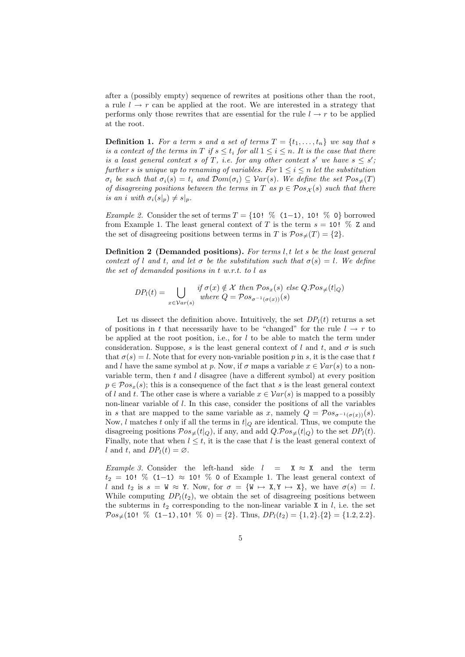after a (possibly empty) sequence of rewrites at positions other than the root, a rule  $l \rightarrow r$  can be applied at the root. We are interested in a strategy that performs only those rewrites that are essential for the rule  $l \rightarrow r$  to be applied at the root.

**Definition 1.** For a term s and a set of terms  $T = \{t_1, \ldots, t_n\}$  we say that s is a context of the terms in T if  $s \le t_i$  for all  $1 \le i \le n$ . It is the case that there is a least general context s of T, i.e. for any other context s' we have  $s \leq s'$ ; further s is unique up to renaming of variables. For  $1 \le i \le n$  let the substitution  $\sigma_i$  be such that  $\sigma_i(s) = t_i$  and  $\mathcal{D}om(\sigma_i) \subseteq \mathcal{V}ar(s)$ . We define the set  $\mathcal{P}os_{\neq}(T)$ of disagreeing positions between the terms in T as  $p \in \mathcal{P}os_{\mathcal{X}}(s)$  such that there is an i with  $\sigma_i(s|_p) \neq s|_p$ .

Example 2. Consider the set of terms  $T = \{10! \; \% \; (1-1), 10! \; \% \; 0\}$  borrowed from Example 1. The least general context of T is the term  $s = 10$ !  $\%$  Z and the set of disagreeing positions between terms in T is  $\mathcal{P}os_{\neq}(T) = \{2\}.$ 

**Definition 2** (Demanded positions). For terms  $l$ ,  $t$  let  $s$  be the least general context of l and t, and let  $\sigma$  be the substitution such that  $\sigma(s) = l$ . We define the set of demanded positions in t w.r.t. to l as

$$
DP_l(t) = \bigcup_{x \in Var(s)} \text{ if } \sigma(x) \notin \mathcal{X} \text{ then } \mathcal{P}os_x(s) \text{ else } Q.\mathcal{P}os_{\neq}(t|_Q)
$$
  
where  $Q = \mathcal{P}os_{\sigma^{-1}(\sigma(x))}(s)$ 

Let us dissect the definition above. Intuitively, the set  $DP_l(t)$  returns a set of positions in t that necessarily have to be "changed" for the rule  $l \rightarrow r$  to be applied at the root position, i.e., for  $l$  to be able to match the term under consideration. Suppose, s is the least general context of l and t, and  $\sigma$  is such that  $\sigma(s) = l$ . Note that for every non-variable position p in s, it is the case that t and l have the same symbol at p. Now, if  $\sigma$  maps a variable  $x \in Var(s)$  to a nonvariable term, then  $t$  and  $l$  disagree (have a different symbol) at every position  $p \in \mathcal{P}os_x(s)$ ; this is a consequence of the fact that s is the least general context of l and t. The other case is where a variable  $x \in Var(s)$  is mapped to a possibly non-linear variable of l. In this case, consider the positions of all the variables in s that are mapped to the same variable as x, namely  $Q = \mathcal{P}os_{\sigma^{-1}(\sigma(x))}(s)$ . Now, l matches t only if all the terms in  $t|_Q$  are identical. Thus, we compute the disagreeing positions  $Pos_{\neq}(t|_{Q})$ , if any, and add  $Q.Pos_{\neq}(t|_{Q})$  to the set  $DP_l(t)$ . Finally, note that when  $l \leq t$ , it is the case that l is the least general context of l and t, and  $DP_l(t) = \emptyset$ .

Example 3. Consider the left-hand side  $l = X \approx X$  and the term  $t_2$  = 10! % (1−1) ≈ 10! % 0 of Example 1. The least general context of l and  $t_2$  is  $s = W \approx Y$ . Now, for  $\sigma = \{W \mapsto X, Y \mapsto X\}$ , we have  $\sigma(s) = l$ . While computing  $DP_l(t_2)$ , we obtain the set of disagreeing positions between the subterms in  $t_2$  corresponding to the non-linear variable X in l, i.e. the set  $\mathcal{P}os_{\neq}(10! \ % (1-1), 10! \ % 0) = \{2\}.$  Thus,  $DP_l(t_2) = \{1, 2\}.$   $\{2\} = \{1.2, 2.2\}.$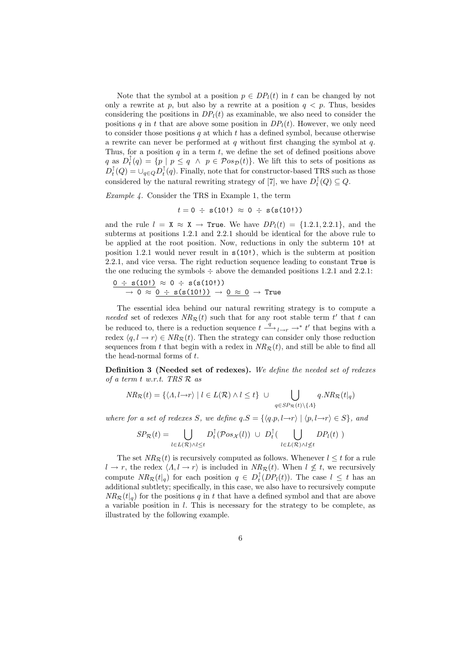Note that the symbol at a position  $p \in DP_l(t)$  in t can be changed by not only a rewrite at p, but also by a rewrite at a position  $q \leq p$ . Thus, besides considering the positions in  $DP_l(t)$  as examinable, we also need to consider the positions q in t that are above some position in  $DP_l(t)$ . However, we only need to consider those positions  $q$  at which  $t$  has a defined symbol, because otherwise a rewrite can never be performed at  $q$  without first changing the symbol at  $q$ . Thus, for a position  $q$  in a term  $t$ , we define the set of defined positions above q as  $D_t^{\uparrow}(q) = \{p \mid p \leq q \land p \in \mathcal{P}osp(t)\}.$  We lift this to sets of positions as  $D_t^{\uparrow}(Q) = \cup_{q \in Q} D_t^{\uparrow}(q)$ . Finally, note that for constructor-based TRS such as those considered by the natural rewriting strategy of [7], we have  $D_t^{\uparrow}(Q) \subseteq Q$ .

Example 4. Consider the TRS in Example 1, the term

 $t = 0 \div s(10!) \approx 0 \div s(s(10))$ 

and the rule  $l = X \approx X \rightarrow True$ . We have  $DP_l(t) = \{1.2.1, 2.2.1\}$ , and the subterms at positions 1.2.1 and 2.2.1 should be identical for the above rule to be applied at the root position. Now, reductions in only the subterm 10! at position 1.2.1 would never result in s(10!), which is the subterm at position 2.2.1, and vice versa. The right reduction sequence leading to constant True is the one reducing the symbols  $\div$  above the demanded positions 1.2.1 and 2.2.1:

$$
\frac{0 \div s(10!)}{\rightarrow 0 \approx 0 \div s(s(10!))} \rightarrow 0 \approx 0 \rightarrow True
$$

The essential idea behind our natural rewriting strategy is to compute a needed set of redexes  $NR_{\mathcal{R}}(t)$  such that for any root stable term  $t'$  that t can be reduced to, there is a reduction sequence  $t \stackrel{q}{\longrightarrow}_{l \to r} \to^* t'$  that begins with a redex  $\langle q, l \to r \rangle \in NR_{\mathcal{R}}(t)$ . Then the strategy can consider only those reduction sequences from t that begin with a redex in  $NR_{\mathcal{R}}(t)$ , and still be able to find all the head-normal forms of t.

Definition 3 (Needed set of redexes). We define the needed set of redexes of a term  $t$  w.r.t. TRS  $\mathcal{R}$  as

$$
NR_{\mathcal{R}}(t) = \{ \langle \Lambda, l \to r \rangle \mid l \in L(\mathcal{R}) \land l \leq t \} \cup \bigcup_{q \in SP_{\mathcal{R}}(t) \setminus \{\Lambda\}} q.NR_{\mathcal{R}}(t|q)
$$

where for a set of redexes S, we define  $q.S = \{ \langle q.p, l\rightarrow r \rangle \mid \langle p, l\rightarrow r \rangle \in S \}$ , and

$$
SP_{\mathcal{R}}(t) = \bigcup_{l \in L(\mathcal{R}) \land l \leq t} D_{t}^{\uparrow}(\mathcal{P}os_{\mathcal{X}}(l)) \cup D_{t}^{\uparrow}(\bigcup_{l \in L(\mathcal{R}) \land l \leq t} DP_{l}(t))
$$

The set  $NR_{\mathcal{R}}(t)$  is recursively computed as follows. Whenever  $l \leq t$  for a rule  $l \to r$ , the redex  $\langle \Lambda, l \to r \rangle$  is included in  $NR_{\mathcal{R}}(t)$ . When  $l \nleq t$ , we recursively compute  $NR_{\mathcal{R}}(t|_q)$  for each position  $q \in D_t^{\uparrow}(DP_l(t))$ . The case  $l \leq t$  has an additional subtlety; specifically, in this case, we also have to recursively compute  $NR_{\mathcal{R}}(t|_{q})$  for the positions q in t that have a defined symbol and that are above a variable position in  $l$ . This is necessary for the strategy to be complete, as illustrated by the following example.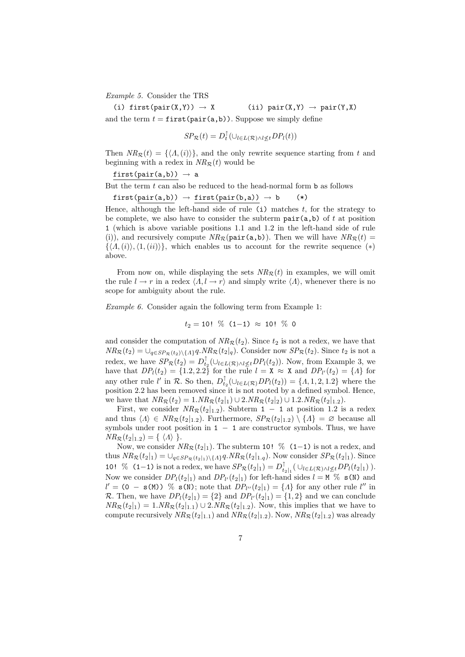Example 5. Consider the TRS

(i) first(pair(X,Y))  $\rightarrow$  X (ii) pair(X,Y)  $\rightarrow$  pair(Y,X)

and the term  $t = \text{first}(\text{pair}(a, b))$ . Suppose we simply define

$$
SP_{\mathcal{R}}(t) = D_t^{\uparrow}(\cup_{l \in L(\mathcal{R}) \land l \leq t} DP_l(t))
$$

Then  $NR_{\mathcal{R}}(t) = \{\langle \Lambda, (i) \rangle\}$ , and the only rewrite sequence starting from t and beginning with a redex in  $NR_{\mathcal{R}}(t)$  would be

 $first(pair(a,b)) \rightarrow a$ 

But the term  $t$  can also be reduced to the head-normal form  $b$  as follows

 $first(pair(a,b)) \rightarrow first(pair(b,a)) \rightarrow b$  (\*)

Hence, although the left-hand side of rule  $(i)$  matches t, for the strategy to be complete, we also have to consider the subterm  $pair(a,b)$  of t at position 1 (which is above variable positions 1.1 and 1.2 in the left-hand side of rule (i)), and recursively compute  $NR_{\mathcal{R}}(\text{pair}(a,b))$ . Then we will have  $NR_{\mathcal{R}}(t)$  =  $\{\langle\Lambda,(i)\rangle,\langle1,(ii)\rangle\}$ , which enables us to account for the rewrite sequence (\*) above.

From now on, while displaying the sets  $NR_{\mathcal{R}}(t)$  in examples, we will omit the rule  $l \to r$  in a redex  $\langle \Lambda, l \to r \rangle$  and simply write  $\langle \Lambda \rangle$ , whenever there is no scope for ambiguity about the rule.

Example 6. Consider again the following term from Example 1:

$$
t_2=10!\ \%\ (1-1)\ \approx\ 10!\ \%\ 0
$$

and consider the computation of  $NR_{\mathcal{R}}(t_2)$ . Since  $t_2$  is not a redex, we have that  $NR_{\mathcal{R}}(t_2) = \bigcup_{q \in SP_{\mathcal{R}}(t_2)} \setminus \{ \Lambda \} q.NR_{\mathcal{R}}(t_2|q)$ . Consider now  $SP_{\mathcal{R}}(t_2)$ . Since  $t_2$  is not a redex, we have  $SP_{\mathcal{R}}(t_2) = D_{t_2}^{\uparrow}(\cup_{l \in L(\mathcal{R}) \wedge l \not\leq t} DP_l(t_2))$ . Now, from Example 3, we have that  $DP_l(t_2) = \{1.2, 2.2\}$  for the rule  $l = \mathbf{X} \approx \mathbf{X}$  and  $DP_{l'}(t_2) = \{A\}$  for any other rule  $l'$  in  $\mathcal{R}$ . So then,  $D_{t_2}^{\uparrow}(\cup_{l \in L(\mathcal{R})} DP_l(t_2)) = \{A, 1, 2, 1.2\}$  where the position 2.2 has been removed since it is not rooted by a defined symbol. Hence, we have that  $NR_{\mathcal{R}}(t_2) = 1.NR_{\mathcal{R}}(t_2|_1) \cup 2.NR_{\mathcal{R}}(t_2|_2) \cup 1.2.NR_{\mathcal{R}}(t_2|_{1.2}).$ 

First, we consider  $NR_{\mathcal{R}}(t_2|_{1,2})$ . Subterm 1 − 1 at position 1.2 is a redex and thus  $\langle A \rangle \in NR_{\mathcal{R}}(t_2|_{1.2})$ . Furthermore,  $SP_{\mathcal{R}}(t_2|_{1.2}) \setminus \{A\} = \emptyset$  because all symbols under root position in  $1 - 1$  are constructor symbols. Thus, we have  $NR_{\mathcal{R}}(t_2|_{1.2}) = \{ \langle A \rangle \}.$ 

Now, we consider  $NR_{\mathcal{R}}(t_2|_1)$ . The subterm 10! % (1–1) is not a redex, and thus  $NR_{\mathcal{R}}(t_2|_1) = \bigcup_{q \in SP_{\mathcal{R}}(t_2|_1)\setminus\{A\}} q.NR_{\mathcal{R}}(t_2|_{1,q})$ . Now consider  $SP_{\mathcal{R}}(t_2|_1)$ . Since 10! % (1-1) is not a redex, we have  $SP_{\mathcal{R}}(t_2|_1) = D_t^{\uparrow}$  $t_{2|1}^{1}(\cup_{l\in L(R)\wedge l\not\leq t}DP_{l}(t_{2}|_{1})).$ Now we consider  $DP_l(t_2|_1)$  and  $DP_{l'}(t_2|_1)$  for left-hand sides  $l = M \%$  s(N) and  $l' = (0 - s(M))$  %  $s(N)$ ; note that  $DP_{l''}(t_2|_1) = \{\Lambda\}$  for any other rule  $l''$  in R. Then, we have  $DP_l(t_2|_1) = \{2\}$  and  $DP_{l'}(t_2|_1) = \{1,2\}$  and we can conclude  $NR_{\mathcal{R}}(t_2|_1) = 1.NR_{\mathcal{R}}(t_2|_{1,1}) \cup 2.NR_{\mathcal{R}}(t_2|_{1,2}).$  Now, this implies that we have to compute recursively  $NR_{\mathcal{R}}(t_2|_{1.1})$  and  $NR_{\mathcal{R}}(t_2|_{1.2})$ . Now,  $NR_{\mathcal{R}}(t_2|_{1.2})$  was already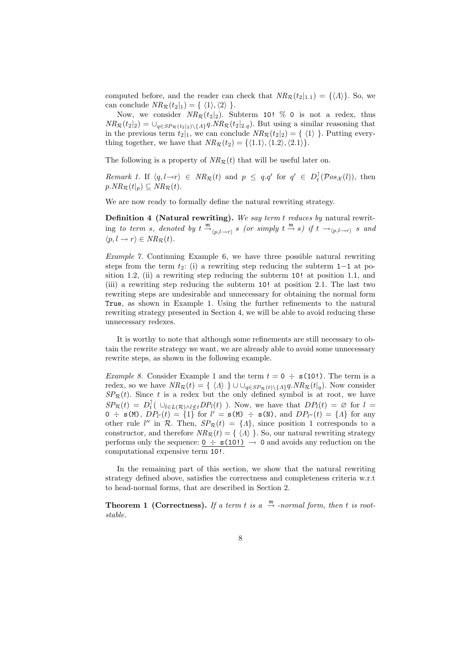computed before, and the reader can check that  $NR_{\mathcal{R}}(t_2|_{1,1}) = {\{\langle \Lambda \rangle\}}.$  So, we can conclude  $NR_{\mathcal{R}}(t_2|_1) = \{ \langle 1 \rangle, \langle 2 \rangle \}.$ 

Now, we consider  $NR_{\mathcal{R}}(t_2|_2)$ . Subterm 10! % 0 is not a redex, thus  $NR_{\mathcal{R}}(t_2|_2) = \bigcup_{q \in SP_{\mathcal{R}}(t_2|_2) \setminus \{A\}} q.NR_{\mathcal{R}}(t_2|_{2,q})$ . But using a similar reasoning that in the previous term  $t_2|_1$ , we can conclude  $NR_{\mathcal{R}}(t_2|_2) = \{ \langle 1 \rangle \}$ . Putting everything together, we have that  $NR_{\mathcal{R}}(t_2) = \{\langle 1.1 \rangle, \langle 1.2 \rangle, \langle 2.1 \rangle\}.$ 

The following is a property of  $NR_{\mathcal{R}}(t)$  that will be useful later on.

Remark 1. If  $\langle q, l \rightarrow r \rangle \in NR_{\mathcal{R}}(t)$  and  $p \leq q.q'$  for  $q' \in D_t^{\uparrow}(\mathcal{P}os_{\mathcal{X}}(l))$ , then  $p.NR_{\mathcal{R}}(t|_p) \subseteq NR_{\mathcal{R}}(t).$ 

We are now ready to formally define the natural rewriting strategy.

**Definition 4 (Natural rewriting).** We say term  $t$  reduces by natural rewriting to term s, denoted by  $t \stackrel{m}{\rightarrow}_{\langle p,l \rightarrow r \rangle} s$  (or simply  $t \stackrel{m}{\rightarrow} s$ ) if  $t \rightarrow_{\langle p,l \rightarrow r \rangle} s$  and  $\langle p, l \to r \rangle \in NR_{\mathcal{R}}(t).$ 

Example 7. Continuing Example 6, we have three possible natural rewriting steps from the term  $t_2$ : (i) a rewriting step reducing the subterm 1–1 at position 1.2, (ii) a rewriting step reducing the subterm  $10!$  at position 1.1, and (iii) a rewriting step reducing the subterm 10! at position 2.1. The last two rewriting steps are undesirable and unnecessary for obtaining the normal form True, as shown in Example 1. Using the further refinements to the natural rewriting strategy presented in Section 4, we will be able to avoid reducing these unnecessary redexes.

It is worthy to note that although some refinements are still necessary to obtain the rewrite strategy we want, we are already able to avoid some unnecessary rewrite steps, as shown in the following example.

*Example 8.* Consider Example 1 and the term  $t = 0 \div s(10!)$ . The term is a redex, so we have  $NR_{\mathcal{R}}(t) = \{ \langle A \rangle \} \cup \bigcup_{q \in SP_{\mathcal{R}}(t) \setminus \{A\}} q.NR_{\mathcal{R}}(t|q)$ . Now consider  $SP_{\mathcal{R}}(t)$ . Since t is a redex but the only defined symbol is at root, we have  $SP_{\mathcal{R}}(t) = D_t^{\uparrow}(\cup_{l \in L(\mathcal{R}) \wedge l \not\leq t} DP_l(t)$ ). Now, we have that  $DP_l(t) = \emptyset$  for  $l =$  $0 \div s(M)$ ,  $DP_{l'}(t) = \{1\}$  for  $l' = s(M) \div s(N)$ , and  $DP_{l''}(t) = \{A\}$  for any other rule  $l''$  in R. Then,  $SP_{\mathcal{R}}(t) = \{A\}$ , since position 1 corresponds to a constructor, and therefore  $NR_{\mathcal{R}}(t) = \{ \langle A \rangle \}$ . So, our natural rewriting strategy performs only the sequence:  $0 \div s(10!) \rightarrow 0$  and avoids any reduction on the computational expensive term 10!.

In the remaining part of this section, we show that the natural rewriting strategy defined above, satisfies the correctness and completeness criteria w.r.t to head-normal forms, that are described in Section 2.

**Theorem 1 (Correctness).** If a term t is a  $\stackrel{m}{\rightarrow}$  -normal form, then t is rootstable.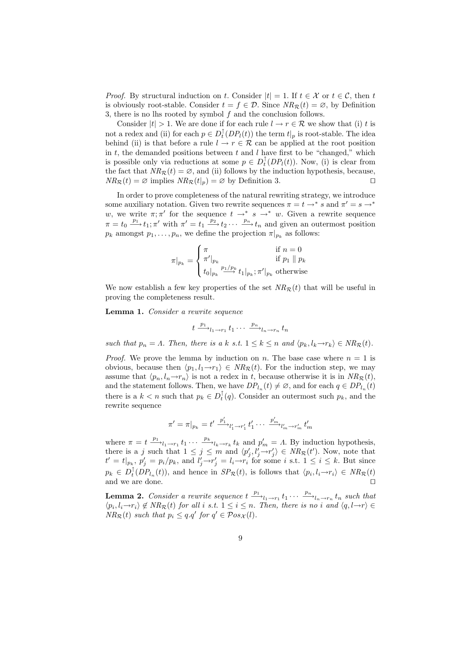*Proof.* By structural induction on t. Consider  $|t| = 1$ . If  $t \in \mathcal{X}$  or  $t \in \mathcal{C}$ , then t is obviously root-stable. Consider  $t = f \in \mathcal{D}$ . Since  $NR_{\mathcal{R}}(t) = \emptyset$ , by Definition 3, there is no lhs rooted by symbol  $f$  and the conclusion follows.

Consider  $|t| > 1$ . We are done if for each rule  $l \to r \in \mathcal{R}$  we show that (i) t is not a redex and (ii) for each  $p \in D_t^{\uparrow}(DP_l(t))$  the term  $t|_p$  is root-stable. The idea behind (ii) is that before a rule  $l \to r \in \mathcal{R}$  can be applied at the root position in  $t$ , the demanded positions between  $t$  and  $l$  have first to be "changed," which is possible only via reductions at some  $p \in D_t^{\uparrow}(DP_l(t))$ . Now, (i) is clear from the fact that  $NR_{\mathcal{R}}(t) = \emptyset$ , and (ii) follows by the induction hypothesis, because,  $NR_{\mathcal{R}}(t) = \emptyset$  implies  $NR_{\mathcal{R}}(t|_p) = \emptyset$  by Definition 3.

In order to prove completeness of the natural rewriting strategy, we introduce some auxiliary notation. Given two rewrite sequences  $\pi = t \rightarrow^* s$  and  $\pi' = s \rightarrow^*$ w, we write  $\pi$ ;  $\pi'$  for the sequence  $t \to^* s \to^* w$ . Given a rewrite sequence  $\pi = t_0 \frac{p_1}{\longrightarrow} t_1$ ;  $\pi'$  with  $\pi' = t_1 \frac{p_2}{\longrightarrow} t_2 \cdots \frac{p_n}{\longrightarrow} t_n$  and given an outermost position  $p_k$  amongst  $p_1, \ldots, p_n$ , we define the projection  $\pi|_{p_k}$  as follows:

$$
\pi|_{p_k} = \begin{cases} \pi & \text{if } n = 0\\ \pi'|_{p_k} & \text{if } p_1 \parallel p_k\\ t_0|_{p_k} \stackrel{p_1/p_k}{\longrightarrow} t_1|_{p_k}; \pi'|_{p_k} \text{ otherwise} \end{cases}
$$

We now establish a few key properties of the set  $NR_{\mathcal{R}}(t)$  that will be useful in proving the completeness result.

Lemma 1. Consider a rewrite sequence

$$
t \xrightarrow{p_1} l_1 \rightarrow r_1 t_1 \cdots \xrightarrow{p_n} l_n \rightarrow r_n t_n
$$

such that  $p_n = \Lambda$ . Then, there is a k s.t.  $1 \leq k \leq n$  and  $\langle p_k, l_k \to r_k \rangle \in NR_{\mathcal{R}}(t)$ .

*Proof.* We prove the lemma by induction on n. The base case where  $n = 1$  is obvious, because then  $\langle p_1, l_1\rightarrow r_1\rangle \in NR_{\mathcal{R}}(t)$ . For the induction step, we may assume that  $\langle p_n, l_n \rightarrow r_n \rangle$  is not a redex in t, because otherwise it is in  $NR_{\mathcal{R}}(t)$ , and the statement follows. Then, we have  $DP_{l_n}(t) \neq \emptyset$ , and for each  $q \in DP_{l_n}(t)$ there is a  $k < n$  such that  $p_k \in D_t^{\uparrow}(q)$ . Consider an outermost such  $p_k$ , and the rewrite sequence

$$
\pi' = \pi|_{p_k} = t' \xrightarrow{p'_1} t'_1 \rightarrow r'_1 t'_1 \cdots \xrightarrow{p'_m} t'_m \rightarrow r'_m t'_m
$$

where  $\pi = t \xrightarrow{p_1} l_1 \rightarrow r_1 t_1 \cdots \xrightarrow{p_k} l_k \rightarrow r_k t_k$  and  $p'_m = \Lambda$ . By induction hypothesis, there is a j such that  $1 \leq j \leq m$  and  $\langle p'_j, l'_j \rightarrow r'_j \rangle \in NR_{\mathcal{R}}(t')$ . Now, note that  $t' = t|_{p_k}, p'_j = p_i/p_k$ , and  $l'_j \rightarrow r'_j = l_i \rightarrow r_i$  for some i s.t.  $1 \leq i \leq k$ . But since  $p_k \in D_t^{\uparrow}(DP_{l_n}(t)),$  and hence in  $SP_{\mathcal{R}}(t)$ , is follows that  $\langle p_i, l_i \rightarrow r_i \rangle \in NR_{\mathcal{R}}(t)$ and we are done.  $\hfill \square$ 

**Lemma 2.** Consider a rewrite sequence  $t \stackrel{p_1}{\longrightarrow}_{l_1 \to r_1} t_1 \cdots \stackrel{p_n}{\longrightarrow}_{l_n \to r_n} t_n$  such that  $\langle p_i, l_i \rightarrow r_i \rangle \notin NR_{\mathcal{R}}(t)$  for all i s.t.  $1 \leq i \leq n$ . Then, there is no i and  $\langle q, l \rightarrow r \rangle \in$  $NR_{\mathcal{R}}(t)$  such that  $p_i \leq q.q'$  for  $q' \in \mathcal{P}os_{\mathcal{X}}(l)$ .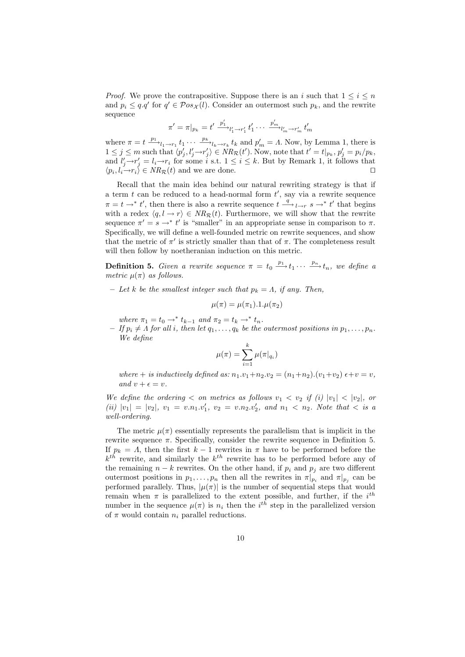*Proof.* We prove the contrapositive. Suppose there is an i such that  $1 \leq i \leq n$ and  $p_i \leq q.q'$  for  $q' \in \mathcal{P}os_{\mathcal{X}}(l)$ . Consider an outermost such  $p_k$ , and the rewrite sequence

$$
\pi' = \pi|_{p_k} = t' \xrightarrow{p'_1} \iota_{1' \to r'_1} t'_1 \cdots \xrightarrow{p'_m} \iota_{m' \to r'_m} t'_m
$$

where  $\pi = t \frac{p_1}{\cdots} l_1 \cdots \frac{p_k}{\cdots} l_k \rightarrow r_k t_k$  and  $p'_m = \Lambda$ . Now, by Lemma 1, there is  $1 \leq j \leq m$  such that  $\langle p'_j, l'_j \rightarrow r'_j \rangle \in NR_{\mathcal{R}}(t')$ . Now, note that  $t' = t|_{p_k}, p'_j = p_i/p_k$ , and  $l'_j \rightarrow r'_j = l_i \rightarrow r_i$  for some i s.t.  $1 \leq i \leq k$ . But by Remark 1, it follows that  $\langle p_i, l_i \rightarrow r_i \rangle \in NR_{\mathcal{R}}(t)$  and we are done.

Recall that the main idea behind our natural rewriting strategy is that if a term  $t$  can be reduced to a head-normal form  $t'$ , say via a rewrite sequence  $\pi = t \to^* t'$ , then there is also a rewrite sequence  $t \stackrel{q}{\longrightarrow}_{l \to r} s \to^* t'$  that begins with a redex  $\langle q, l \to r \rangle \in NR_{\mathcal{R}}(t)$ . Furthermore, we will show that the rewrite sequence  $\pi' = s \to t'$  is "smaller" in an appropriate sense in comparison to  $\pi$ . Specifically, we will define a well-founded metric on rewrite sequences, and show that the metric of  $\pi'$  is strictly smaller than that of  $\pi$ . The completeness result will then follow by noetheranian induction on this metric.

**Definition 5.** Given a rewrite sequence  $\pi = t_0 \stackrel{p_1}{\longrightarrow} t_1 \cdots \stackrel{p_n}{\longrightarrow} t_n$ , we define a metric  $\mu(\pi)$  as follows.

– Let k be the smallest integer such that  $p_k = \Lambda$ , if any. Then,

$$
\mu(\pi) = \mu(\pi_1).1.\mu(\pi_2)
$$

where  $\pi_1 = t_0 \rightarrow^* t_{k-1}$  and  $\pi_2 = t_k \rightarrow^* t_n$ .

 $-If p_i \neq \Lambda$  for all i, then let  $q_1, \ldots, q_k$  be the outermost positions in  $p_1, \ldots, p_n$ . We define

$$
\mu(\pi) = \sum_{i=1}^k \mu(\pi|_{q_i})
$$

where  $+$  is inductively defined as:  $n_1 \cdot v_1 + n_2 \cdot v_2 = (n_1+n_2) \cdot (v_1+v_2) \cdot \epsilon + v = v$ . and  $v + \epsilon = v$ .

We define the ordering  $\langle$  on metrics as follows  $v_1 \langle v_2 \rangle$  if (i)  $|v_1| \langle v_2 \rangle$ , or (ii)  $|v_1| = |v_2|$ ,  $v_1 = v.n_1.v'_1$ ,  $v_2 = v.n_2.v'_2$ , and  $n_1 < n_2$ . Note that  $\langle$  is a well-ordering.

The metric  $\mu(\pi)$  essentially represents the parallelism that is implicit in the rewrite sequence  $\pi$ . Specifically, consider the rewrite sequence in Definition 5. If  $p_k = \Lambda$ , then the first  $k - 1$  rewrites in  $\pi$  have to be performed before the  $k^{th}$  rewrite, and similarly the  $k^{th}$  rewrite has to be performed before any of the remaining  $n - k$  rewrites. On the other hand, if  $p_i$  and  $p_j$  are two different outermost positions in  $p_1, \ldots, p_n$  then all the rewrites in  $\pi|_{p_i}$  and  $\pi|_{p_j}$  can be performed parallely. Thus,  $|\mu(\pi)|$  is the number of sequential steps that would remain when  $\pi$  is parallelized to the extent possible, and further, if the  $i^{th}$ number in the sequence  $\mu(\pi)$  is  $n_i$  then the i<sup>th</sup> step in the parallelized version of  $\pi$  would contain  $n_i$  parallel reductions.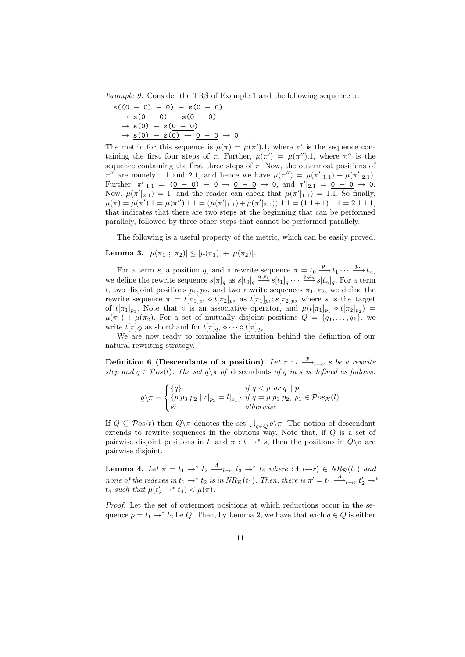Example 9. Consider the TRS of Example 1 and the following sequence  $\pi$ :

$$
s((0 - 0) - 0) - s(0 - 0)
$$
  
\n
$$
\rightarrow s(0 - 0) - s(0 - 0)
$$
  
\n
$$
\rightarrow s(0) - s(0 - 0)
$$
  
\n
$$
\rightarrow s(0) - s(0) \rightarrow 0 - 0 \rightarrow 0
$$

The metric for this sequence is  $\mu(\pi) = \mu(\pi').1$ , where  $\pi'$  is the sequence containing the first four steps of  $\pi$ . Further,  $\mu(\pi') = \mu(\pi'')$ . Where  $\pi''$  is the sequence containing the first three steps of  $\pi$ . Now, the outermost positions of  $\pi''$  are namely 1.1 and 2.1, and hence we have  $\mu(\pi'') = \mu(\pi'|_{1,1}) + \mu(\pi'|_{2,1}).$ Further,  $\pi'|_{1,1} = (0 - 0) - 0 \rightarrow 0 - 0 \rightarrow 0$ , and  $\pi'|_{2,1} = 0 - 0 \rightarrow 0$ . Now,  $\mu(\pi'|_{2,1}) = 1$ , and the reader can check that  $\mu(\pi'|_{1,1}) = 1.1$ . So finally,  $\mu(\pi) = \mu(\pi').1 = \mu(\pi'').1.1 = (\mu(\pi'|_{1.1}) + \mu(\pi'|_{2.1})).1.1 = (1.1 + 1).1.1 = 2.1.1.1,$ that indicates that there are two steps at the beginning that can be performed parallely, followed by three other steps that cannot be performed parallely.

The following is a useful property of the metric, which can be easily proved.

Lemma 3.  $|\mu(\pi_1; \pi_2)| \leq |\mu(\pi_1)| + |\mu(\pi_2)|$ .

For a term s, a position q, and a rewrite sequence  $\pi = t_0 \xrightarrow{p_1} t_1 \cdots \xrightarrow{p_n} t_n$ , we define the rewrite sequence  $s[\pi]_q$  as  $s[t_0]_q \stackrel{q.p_1}{\longrightarrow} s[t_1]_q \cdots \stackrel{q.p_n}{\longrightarrow} s[t_n]_q$ . For a term t, two disjoint positions  $p_1, p_2$ , and two rewrite sequences  $\pi_1, \pi_2$ , we define the rewrite sequence  $\pi = t[\pi_1]_{p_1} \diamond t[\pi_2]_{p_2}$  as  $t[\pi_1]_{p_1}$ ;  $s[\pi_2]_{p_2}$  where s is the target of  $t[\pi_1]_{p_1}$ . Note that  $\diamond$  is an associative operator, and  $\mu(t[\pi_1]_{p_1} \diamond t[\pi_2]_{p_2}) =$  $\mu(\pi_1) + \mu(\pi_2)$ . For a set of mutually disjoint positions  $Q = \{q_1, \ldots, q_k\}$ , we write  $t[\pi]_Q$  as shorthand for  $t[\pi]_{q_1} \diamond \cdots \diamond t[\pi]_{q_k}$ .

We are now ready to formalize the intuition behind the definition of our natural rewriting strategy.

Definition 6 (Descendants of a position). Let  $\pi$  :  $t \stackrel{p}{\longrightarrow}_{l \to r} s$  be a rewrite step and  $q \in \mathcal{P}os(t)$ . The set  $q \setminus \pi$  of descendants of q in s is defined as follows:

$$
q\setminus \pi = \begin{cases} \{q\} & \text{if } q < p \text{ or } q \parallel p \\ \{p.p_3.p_2 \mid r|_{p_3} = l|_{p_1}\} & \text{if } q = p.p_1.p_2, \ p_1 \in \mathcal{P}os_{\mathcal{X}}(l) \\ \varnothing & \text{otherwise} \end{cases}
$$

If  $Q \subseteq Pos(t)$  then  $Q \setminus \pi$  denotes the set  $\bigcup_{q \in Q} q \setminus \pi$ . The notion of descendant extends to rewrite sequences in the obvious way. Note that, if Q is a set of pairwise disjoint positions in t, and  $\pi : t \to^* s$ , then the positions in  $Q\setminus \pi$  are pairwise disjoint.

**Lemma 4.** Let  $\pi = t_1 \rightarrow^* t_2 \stackrel{\Lambda}{\longrightarrow}_{l \rightarrow r} t_3 \rightarrow^* t_4$  where  $\langle \Lambda, l \rightarrow r \rangle \in NR_{\mathcal{R}}(t_1)$  and none of the redexes in  $t_1 \to^* t_2$  is in  $NR_{\mathcal{R}}(t_1)$ . Then, there is  $\pi' = t_1 \stackrel{\Lambda}{\longrightarrow}_{l \to r} t'_2 \to^*$  $t_4$  such that  $\mu(t'_2 \rightarrow^* t_4) < \mu(\pi)$ .

Proof. Let the set of outermost positions at which reductions occur in the sequence  $\rho = t_1 \rightarrow^* t_2$  be Q. Then, by Lemma 2, we have that each  $q \in Q$  is either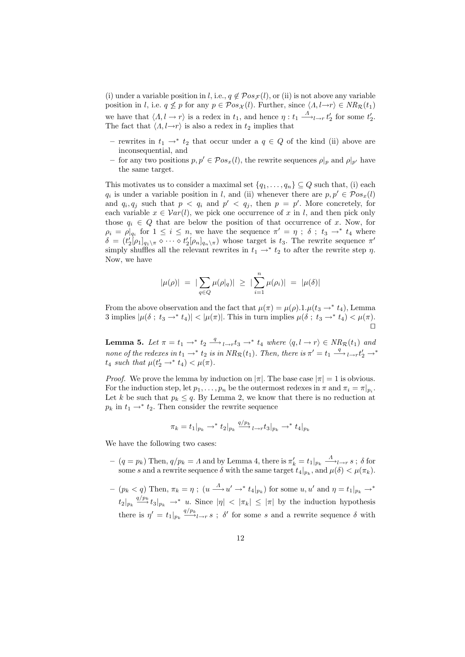(i) under a variable position in l, i.e.,  $q \notin \mathcal{P}os_{\mathcal{F}}(l)$ , or (ii) is not above any variable position in l, i.e.  $q \nleq p$  for any  $p \in \mathcal{P}os_{\mathcal{X}}(l)$ . Further, since  $\langle \Lambda, l \to r \rangle \in NR_{\mathcal{R}}(t_1)$ we have that  $\langle \Lambda, l \to r \rangle$  is a redex in  $t_1$ , and hence  $\eta : t_1 \xrightarrow{\Lambda} t_2$  for some  $t_2'$ . The fact that  $\langle \Lambda, l \rightarrow r \rangle$  is also a redex in  $t_2$  implies that

- rewrites in  $t_1$  →  $t_2$  that occur under a  $q \in Q$  of the kind (ii) above are inconsequential, and
- for any two positions  $p, p' \in \mathcal{P}os_x(l)$ , the rewrite sequences  $\rho|_p$  and  $\rho|_{p'}$  have the same target.

This motivates us to consider a maximal set  $\{q_1, \ldots, q_n\} \subseteq Q$  such that, (i) each  $q_i$  is under a variable position in l, and (ii) whenever there are  $p, p' \in \mathcal{P}os_x(l)$ and  $q_i, q_j$  such that  $p < q_i$  and  $p' < q_j$ , then  $p = p'$ . More concretely, for each variable  $x \in Var(l)$ , we pick one occurrence of x in l, and then pick only those  $q_i \in Q$  that are below the position of that occurrence of x. Now, for  $\rho_i = \rho|_{q_i}$  for  $1 \leq i \leq n$ , we have the sequence  $\pi' = \eta$ ;  $\delta$ ;  $t_3 \rightarrow^* t_4$  where  $\delta = (t'_2[\rho_1]_{q_1}\setminus \pi \diamond \cdots \diamond t'_2[\rho_n]_{q_n}\setminus \pi)$  whose target is  $t_3$ . The rewrite sequence  $\pi'$ simply shuffles all the relevant rewrites in  $t_1 \rightarrow * t_2$  to after the rewrite step  $\eta$ . Now, we have

$$
|\mu(\rho)| = |\sum_{q \in Q} \mu(\rho|_q)| \geq |\sum_{i=1}^n \mu(\rho_i)| = |\mu(\delta)|
$$

From the above observation and the fact that  $\mu(\pi) = \mu(\rho) \cdot 1 \cdot \mu(t_3 \to t_4)$ , Lemma 3 implies  $|\mu(\delta : t_3 \to t_4)| < |\mu(\pi)|$ . This in turn implies  $\mu(\delta : t_3 \to t_4) < \mu(\pi)$ .  $\Box$ 

**Lemma 5.** Let  $\pi = t_1 \rightarrow^* t_2 \stackrel{q}{\rightarrow} t_{-r} t_3 \rightarrow^* t_4$  where  $\langle q, l \rightarrow r \rangle \in NR_{\mathcal{R}}(t_1)$  and none of the redexes in  $t_1 \to t_2$  is in  $NR_{\mathcal{R}}(t_1)$ . Then, there is  $\pi' = t_1 \xrightarrow{q} t_1 \to t_2' \to t_1''$  $t_4$  such that  $\mu(t'_2 \rightarrow^* t_4) < \mu(\pi)$ .

*Proof.* We prove the lemma by induction on  $|\pi|$ . The base case  $|\pi| = 1$  is obvious. For the induction step, let  $p_1, \ldots, p_n$  be the outermost redexes in  $\pi$  and  $\pi_i = \pi|_{p_i}$ . Let k be such that  $p_k \leq q$ . By Lemma 2, we know that there is no reduction at  $p_k$  in  $t_1 \rightarrow^* t_2$ . Then consider the rewrite sequence

$$
\pi_k = t_1|_{p_k} \to^* t_2|_{p_k} \xrightarrow{q/p_k} l \to r t_3|_{p_k} \to^* t_4|_{p_k}
$$

We have the following two cases:

- $(q = p_k)$  Then,  $q/p_k = \Lambda$  and by Lemma 4, there is  $\pi'_k = t_1|_{p_k} \stackrel{\Lambda}{\longrightarrow}_{l \to r} s$ ;  $\delta$  for some s and a rewrite sequence  $\delta$  with the same target  $t_4|_{p_k}$ , and  $\mu(\delta) < \mu(\pi_k)$ .
- $(p_k < q)$  Then,  $\pi_k = \eta$ ;  $(u \stackrel{\Lambda}{\longrightarrow} u' \rightarrow^* t_4|_{p_k})$  for some  $u, u'$  and  $\eta = t_1|_{p_k} \rightarrow^* t_4$  $t_2|_{p_k} \stackrel{q/p_k}{\longrightarrow} t_3|_{p_k} \stackrel{\longrightarrow}{\longrightarrow} u$ . Since  $|\eta| < |\pi_k| \leq |\pi|$  by the induction hypothesis there is  $\eta' = t_1|_{p_k} \stackrel{q/p_k}{\longrightarrow}_{l \to r} s$ ;  $\delta'$  for some s and a rewrite sequence  $\delta$  with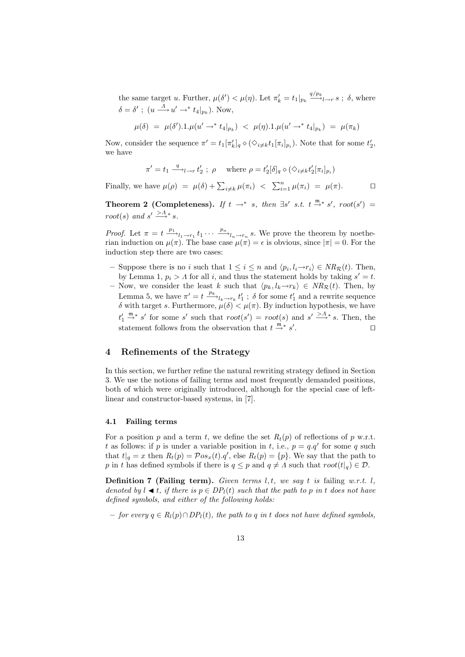the same target u. Further,  $\mu(\delta') < \mu(\eta)$ . Let  $\pi'_k = t_1|_{p_k} \stackrel{q/p_k}{\longrightarrow}_{l \to r} s$ ;  $\delta$ , where  $\delta = \delta'$ ;  $(u \xrightarrow{\Lambda} u' \rightarrow^* t_4|_{p_k})$ . Now,

$$
\mu(\delta) = \mu(\delta').1.\mu(u' \to^* t_4|_{p_k}) < \mu(\eta).1.\mu(u' \to^* t_4|_{p_k}) = \mu(\pi_k)
$$

Now, consider the sequence  $\pi' = t_1[\pi'_k]_q \diamond (\diamondsuit_{i \neq k} t_1[\pi_i]_{p_i})$ . Note that for some  $t'_2$ , we have

$$
\pi' = t_1 \xrightarrow{q} t_{\rightarrow r} t'_2 ; \ \rho \quad \text{where } \rho = t'_2[\delta]_q \diamond (\diamond_{i \neq k} t'_2[\pi_i]_{p_i})
$$
  
Finally, we have  $\mu(\rho) = \mu(\delta) + \sum_{i \neq k} \mu(\pi_i) < \sum_{i=1}^n \mu(\pi_i) = \mu(\pi).$ 

Theorem 2 (Completeness). If  $t \to^* s$ , then  $\exists s'$  s.t.  $t \stackrel{m}{\to} s'$ , root $(s') =$ root(s) and  $s' \stackrel{\geq A}{\longrightarrow} s$ .

*Proof.* Let  $\pi = t \xrightarrow{p_1} l_1 \rightarrow r_1 t_1 \cdots \xrightarrow{p_n} l_n \rightarrow r_n s$ . We prove the theorem by noetherian induction on  $\mu(\pi)$ . The base case  $\mu(\pi) = \epsilon$  is obvious, since  $|\pi| = 0$ . For the induction step there are two cases:

- Suppose there is no i such that  $1 \leq i \leq n$  and  $\langle p_i, l_i \rightarrow r_i \rangle \in NR_{\mathcal{R}}(t)$ . Then, by Lemma 1,  $p_i > \Lambda$  for all i, and thus the statement holds by taking  $s' = t$ .
- Now, we consider the least k such that  $\langle p_k, l_k \rightarrow r_k \rangle \in NR_{\mathcal{R}}(t)$ . Then, by Lemma 5, we have  $\pi' = t \frac{p_k}{\lambda_k \to r_k} t'_1$ ;  $\delta$  for some  $t'_1$  and a rewrite sequence δ with target s. Furthermore, µ(δ) < µ(π). By induction hypothesis, we have  $t'_1 \stackrel{\mathfrak{m}}{\rightarrow} s'$  for some s' such that  $root(s') = root(s)$  and  $s' \stackrel{>A}{\rightarrow} s$ . Then, the statement follows from the observation that  $t \stackrel{m}{\rightarrow} s'$ . The contract of  $\Box$

## 4 Refinements of the Strategy

In this section, we further refine the natural rewriting strategy defined in Section 3. We use the notions of failing terms and most frequently demanded positions, both of which were originally introduced, although for the special case of leftlinear and constructor-based systems, in [7].

#### 4.1 Failing terms

For a position p and a term t, we define the set  $R_t(p)$  of reflections of p w.r.t. t as follows: if p is under a variable position in t, i.e.,  $p = q.q'$  for some q such that  $t|_q = x$  then  $R_t(p) = \mathcal{P}os_x(t) \cdot q'$ , else  $R_t(p) = \{p\}$ . We say that the path to p in t has defined symbols if there is  $q \leq p$  and  $q \neq \Lambda$  such that  $root(t|_q) \in \mathcal{D}$ .

**Definition 7 (Failing term).** Given terms  $l, t$ , we say t is failing w.r.t.  $l$ , denoted by  $l \blacktriangleleft t$ , if there is  $p \in DP_l(t)$  such that the path to p in t does not have defined symbols, and either of the following holds:

– for every  $q \in R_l(p) \cap DP_l(t)$ , the path to q in t does not have defined symbols,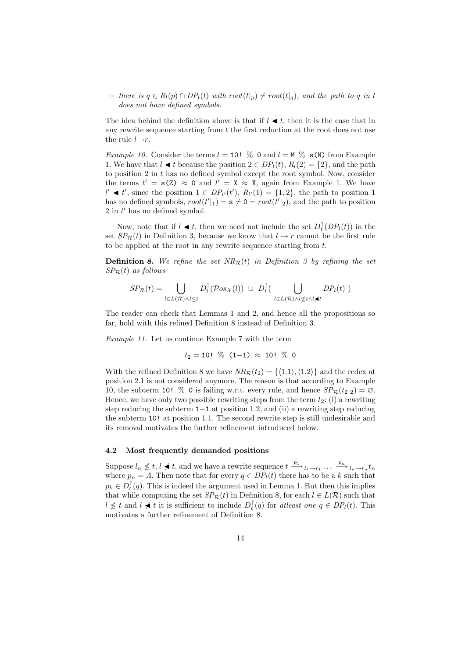– there is  $q \in R_l(p) \cap DP_l(t)$  with  $root(t|_p) \neq root(t|_q)$ , and the path to q in t does not have defined symbols.

The idea behind the definition above is that if  $l \blacktriangleleft t$ , then it is the case that in any rewrite sequence starting from  $t$  the first reduction at the root does not use the rule  $l\rightarrow r$ .

*Example 10.* Consider the terms  $t = 10!$  % 0 and  $l = M$  %  $s(N)$  from Example 1. We have that  $l \blacktriangleleft t$  because the position  $2 \in DP_l(t)$ ,  $R_l(2) = \{2\}$ , and the path to position 2 in t has no defined symbol except the root symbol. Now, consider the terms  $t' = s(2) \approx 0$  and  $l' = X \approx X$ , again from Example 1. We have  $l'$  ◀  $t'$ , since the position 1 ∈  $DP_{l'}(t')$ ,  $R_{l'}(1) = \{1,2\}$ , the path to position 1 has no defined symbols,  $root(t'|_1) = s \neq 0 = root(t'|_2)$ , and the path to position  $2$  in  $t'$  has no defined symbol.

Now, note that if  $l \blacktriangleleft t$ , then we need not include the set  $D_t^{\uparrow}(DP_l(t))$  in the set  $SP_{\mathcal{R}}(t)$  in Definition 3, because we know that  $l \rightarrow r$  cannot be the first rule to be applied at the root in any rewrite sequence starting from t.

**Definition 8.** We refine the set  $NR_{\mathcal{R}}(t)$  in Definition 3 by refining the set  $SP_{\mathcal{R}}(t)$  as follows

$$
SP_{\mathcal{R}}(t) = \bigcup_{l \in L(\mathcal{R}) \land l \leq t} D_{t}^{\uparrow}(\mathcal{P}os_{\mathcal{X}}(l)) \cup D_{t}^{\uparrow}(\bigcup_{l \in L(\mathcal{R}) \land l \leq t \land l \neq t} DP_{l}(t))
$$

The reader can check that Lemmas 1 and 2, and hence all the propositions so far, hold with this refined Definition 8 instead of Definition 3.

Example 11. Let us continue Example 7 with the term

$$
t_2 = 10! \, \%\, (1-1) \approx 10! \, \%\, 0
$$

With the refined Definition 8 we have  $NR_{\mathcal{R}}(t_2) = \{\langle 1.1 \rangle, \langle 1.2 \rangle\}$  and the redex at position 2.1 is not considered anymore. The reason is that according to Example 10, the subterm 10! % 0 is failing w.r.t. every rule, and hence  $SP_{\mathcal{R}}(t_2|_2) = \emptyset$ . Hence, we have only two possible rewriting steps from the term  $t_2$ : (i) a rewriting step reducing the subterm 1−1 at position 1.2, and (ii) a rewriting step reducing the subterm 10! at position 1.1. The second rewrite step is still undesirable and its removal motivates the further refinement introduced below.

#### 4.2 Most frequently demanded positions

Suppose  $l_n \nleq t, l \nless t$ , and we have a rewrite sequence  $t \xrightarrow{p_1} l_1 \rightarrow r_1 \cdots \xrightarrow{p_n} l_n \rightarrow r_n t_n$ where  $p_n = \Lambda$ . Then note that for every  $q \in DP_l(t)$  there has to be a k such that  $p_k \in D_t^{\uparrow}(q)$ . This is indeed the argument used in Lemma 1. But then this implies that while computing the set  $SP_{\mathcal{R}}(t)$  in Definition 8, for each  $l \in L(\mathcal{R})$  such that  $l \nleq t$  and  $l \npreceq t$  it is sufficient to include  $D_t^{\uparrow}(q)$  for atleast one  $q \in DP_l(t)$ . This motivates a further refinement of Definition 8.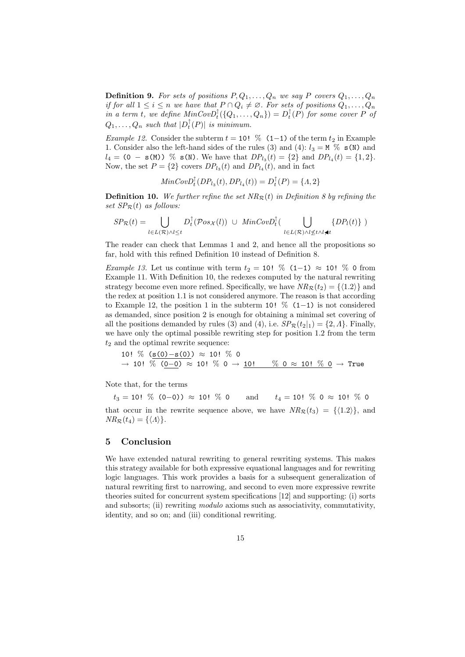**Definition 9.** For sets of positions  $P, Q_1, \ldots, Q_n$  we say P covers  $Q_1, \ldots, Q_n$ if for all  $1 \leq i \leq n$  we have that  $P \cap Q_i \neq \emptyset$ . For sets of positions  $Q_1, \ldots, Q_n$ in a term t, we define  $MinCovD_t^{\uparrow}(\{Q_1,\ldots,Q_n\}) = D_t^{\uparrow}(P)$  for some cover P of  $Q_1, \ldots, Q_n$  such that  $|D_t^{\uparrow}(P)|$  is minimum.

Example 12. Consider the subterm  $t = 10!$  % (1-1) of the term  $t_2$  in Example 1. Consider also the left-hand sides of the rules (3) and (4):  $l_3 = M \%$  s(N) and  $l_4 = (0 - s(M))$  %  $s(N)$ . We have that  $DP_{l_3}(t) = \{2\}$  and  $DP_{l_4}(t) = \{1, 2\}$ . Now, the set  $P = \{2\}$  covers  $DP_{l_3}(t)$  and  $DP_{l_4}(t)$ , and in fact

$$
MinCovD_t^{\uparrow}(DP_{l_3}(t), DP_{l_4}(t)) = D_t^{\uparrow}(P) = \{A, 2\}
$$

**Definition 10.** We further refine the set  $NR_{\mathcal{R}}(t)$  in Definition 8 by refining the set  $SP_{\mathcal{R}}(t)$  as follows:

$$
SP_{\mathcal{R}}(t) = \bigcup_{l \in L(\mathcal{R}) \land l \leq t} D_{t}^{\uparrow}(\mathcal{P}os_{\mathcal{X}}(l)) \cup MinCovD_{t}^{\uparrow}(\bigcup_{l \in L(\mathcal{R}) \land l \not\leq t \land l \not\preceq t} \{DP_{l}(t)\})
$$

The reader can check that Lemmas 1 and 2, and hence all the propositions so far, hold with this refined Definition 10 instead of Definition 8.

Example 13. Let us continue with term  $t_2 = 10!$  % (1−1) ≈ 10! % 0 from Example 11. With Definition 10, the redexes computed by the natural rewriting strategy become even more refined. Specifically, we have  $NR_{\mathcal{P}}(t_2) = \{\langle 1,2 \rangle\}$  and the redex at position 1.1 is not considered anymore. The reason is that according to Example 12, the position 1 in the subterm 10!  $\%$  (1–1) is not considered as demanded, since position 2 is enough for obtaining a minimal set covering of all the positions demanded by rules (3) and (4), i.e.  $SP_{\mathcal{R}}(t_2|_1) = \{2, \Lambda\}$ . Finally, we have only the optimal possible rewriting step for position 1.2 from the term  $t_2$  and the optimal rewrite sequence:

10! % (s(0)−s(0)) ≈ 10! % 0  $\rightarrow$  10!  $\sqrt[6]{(0-0)} \approx 10!$  % 0 → 10! % 0 ≈ 10! % 0 → True

Note that, for the terms

 $t_3 = 10!$  % (0−0)) ≈ 10! % 0 and  $t_4 = 10!$  % 0 ≈ 10! % 0 that occur in the rewrite sequence above, we have  $NR_{\mathcal{R}}(t_3) = \{\langle 1.2 \rangle\}$ , and  $NR_{\mathcal{R}}(t_4) = \{\langle A \rangle\}.$ 

## 5 Conclusion

We have extended natural rewriting to general rewriting systems. This makes this strategy available for both expressive equational languages and for rewriting logic languages. This work provides a basis for a subsequent generalization of natural rewriting first to narrowing, and second to even more expressive rewrite theories suited for concurrent system specifications [12] and supporting: (i) sorts and subsorts; (ii) rewriting modulo axioms such as associativity, commutativity, identity, and so on; and (iii) conditional rewriting.